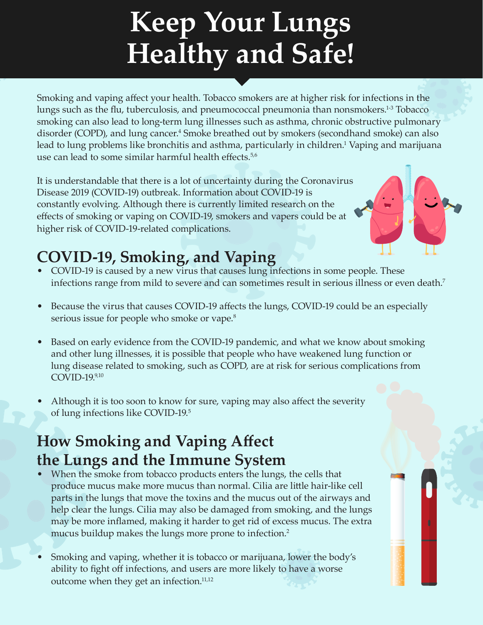# **Keep Your Lungs Healthy and Safe!**

Smoking and vaping affect your health. Tobacco smokers are at higher risk for infections in the lungs such as the flu, tuberculosis, and pneumococcal pneumonia than nonsmokers.<sup>1-3</sup> Tobacco smoking can also lead to long-term lung illnesses such as asthma, chronic obstructive pulmonary disorder (COPD), and lung cancer.<sup>4</sup> Smoke breathed out by smokers (secondhand smoke) can also lead to lung problems like bronchitis and asthma, particularly in children.<sup>1</sup> Vaping and marijuana use can lead to some similar harmful health effects.<sup>5,6</sup>

It is understandable that there is a lot of uncertainty during the Coronavirus Disease 2019 (COVID-19) outbreak. Information about COVID-19 is constantly evolving. Although there is currently limited research on the effects of smoking or vaping on COVID-19, smokers and vapers could be at higher risk of COVID-19-related complications.

## **COVID-19, Smoking, and Vaping**

- COVID-19 is caused by a new virus that causes lung infections in some people. These infections range from mild to severe and can sometimes result in serious illness or even death.<sup>7</sup>
- Because the virus that causes COVID-19 affects the lungs, COVID-19 could be an especially serious issue for people who smoke or vape.<sup>8</sup>
- Based on early evidence from the COVID-19 pandemic, and what we know about smoking and other lung illnesses, it is possible that people who have weakened lung function or lung disease related to smoking, such as COPD, are at risk for serious complications from COVID-19.9,10
- Although it is too soon to know for sure, vaping may also affect the severity of lung infections like COVID-19.<sup>5</sup>

## **How Smoking and Vaping Affect the Lungs and the Immune System**

- When the smoke from tobacco products enters the lungs, the cells that produce mucus make more mucus than normal. Cilia are little hair-like cell parts in the lungs that move the toxins and the mucus out of the airways and help clear the lungs. Cilia may also be damaged from smoking, and the lungs may be more inflamed, making it harder to get rid of excess mucus. The extra mucus buildup makes the lungs more prone to infection.<sup>2</sup>
- Smoking and vaping, whether it is tobacco or marijuana, lower the body's ability to fight off infections, and users are more likely to have a worse outcome when they get an infection.<sup>11,12</sup>